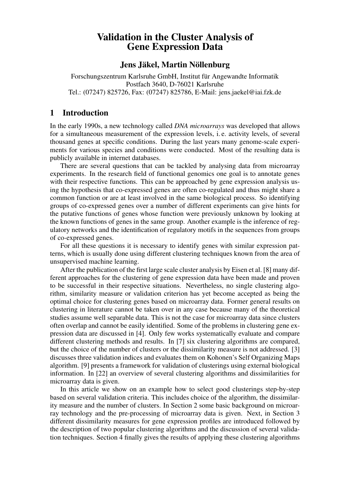# **Validation in the Cluster Analysis of Gene Expression Data**

# **Jens Jäkel, Martin Nöllenburg**

Forschungszentrum Karlsruhe GmbH, Institut für Angewandte Informatik Postfach 3640, D-76021 Karlsruhe Tel.: (07247) 825726, Fax: (07247) 825786, E-Mail: jens.jaekel@iai.fzk.de

# **1 Introduction**

In the early 1990s, a new technology called *DNA microarrays* was developed that allows for a simultaneous measurement of the expression levels, i. e. activity levels, of several thousand genes at specific conditions. During the last years many genome-scale experiments for various species and conditions were conducted. Most of the resulting data is publicly available in internet databases.

There are several questions that can be tackled by analysing data from microarray experiments. In the research field of functional genomics one goal is to annotate genes with their respective functions. This can be approached by gene expression analysis using the hypothesis that co-expressed genes are often co-regulated and thus might share a common function or are at least involved in the same biological process. So identifying groups of co-expressed genes over a number of different experiments can give hints for the putative functions of genes whose function were previously unknown by looking at the known functions of genes in the same group. Another example is the inference of regulatory networks and the identification of regulatory motifs in the sequences from groups of co-expressed genes.

For all these questions it is necessary to identify genes with similar expression patterns, which is usually done using different clustering techniques known from the area of unsupervised machine learning.

After the publication of the first large scale cluster analysis by Eisen et al. [8] many different approaches for the clustering of gene expression data have been made and proven to be successful in their respective situations. Nevertheless, no single clustering algorithm, similarity measure or validation criterion has yet become accepted as being the optimal choice for clustering genes based on microarray data. Former general results on clustering in literature cannot be taken over in any case because many of the theoretical studies assume well separable data. This is not the case for microarray data since clusters often overlap and cannot be easily identified. Some of the problems in clustering gene expression data are discussed in [4]. Only few works systematically evaluate and compare different clustering methods and results. In [7] six clustering algorithms are compared, but the choice of the number of clusters or the dissimilarity measure is not addressed. [3] discusses three validation indices and evaluates them on Kohonen's Self Organizing Maps algorithm. [9] presents a framework for validation of clusterings using external biological information. In [22] an overview of several clustering algorithms and dissimilarities for microarray data is given.

In this article we show on an example how to select good clusterings step-by-step based on several validation criteria. This includes choice of the algorithm, the dissimilarity measure and the number of clusters. In Section 2 some basic background on microarray technology and the pre-processing of microarray data is given. Next, in Section 3 different dissimilarity measures for gene expression profiles are introduced followed by the description of two popular clustering algorithms and the discussion of several validation techniques. Section 4 finally gives the results of applying these clustering algorithms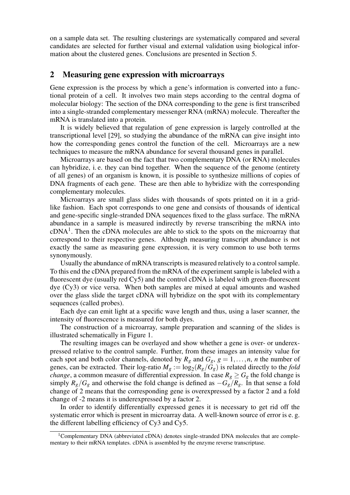on a sample data set. The resulting clusterings are systematically compared and several candidates are selected for further visual and external validation using biological information about the clustered genes. Conclusions are presented in Section 5.

# **2 Measuring gene expression with microarrays**

Gene expression is the process by which a gene's information is converted into a functional protein of a cell. It involves two main steps according to the central dogma of molecular biology: The section of the DNA corresponding to the gene is first transcribed into a single-stranded complementary messenger RNA (mRNA) molecule. Thereafter the mRNA is translated into a protein.

It is widely believed that regulation of gene expression is largely controlled at the transcriptional level [29], so studying the abundance of the mRNA can give insight into how the corresponding genes control the function of the cell. Microarrays are a new techniques to measure the mRNA abundance for several thousand genes in parallel.

Microarrays are based on the fact that two complementary DNA (or RNA) molecules can hybridize, i. e. they can bind together. When the sequence of the genome (entirety of all genes) of an organism is known, it is possible to synthesize millions of copies of DNA fragments of each gene. These are then able to hybridize with the corresponding complementary molecules.

Microarrays are small glass slides with thousands of spots printed on it in a gridlike fashion. Each spot corresponds to one gene and consists of thousands of identical and gene-specific single-stranded DNA sequences fixed to the glass surface. The mRNA abundance in a sample is measured indirectly by reverse transcribing the mRNA into  $cDNA<sup>1</sup>$ . Then the  $cDNA$  molecules are able to stick to the spots on the microarray that correspond to their respective genes. Although measuring transcript abundance is not exactly the same as measuring gene expression, it is very common to use both terms synonymously.

Usually the abundance of mRNA transcripts is measured relatively to a control sample. To this end the cDNA prepared from the mRNA of the experiment sample is labeled with a fluorescent dye (usually red Cy5) and the control cDNA is labeled with green-fluorescent dye (Cy3) or vice versa. When both samples are mixed at equal amounts and washed over the glass slide the target cDNA will hybridize on the spot with its complementary sequences (called probes).

Each dye can emit light at a specific wave length and thus, using a laser scanner, the intensity of fluorescence is measured for both dyes.

The construction of a microarray, sample preparation and scanning of the slides is illustrated schematically in Figure 1.

The resulting images can be overlayed and show whether a gene is over- or underexpressed relative to the control sample. Further, from these images an intensity value for each spot and both color channels, denoted by  $R_g$  and  $G_g$ ,  $g = 1, \ldots, n$ , *n* the number of genes, can be extracted. Their log-ratio  $M_g := \log_2(R_g/G_g)$  is related directly to the *fold change*, a common measure of differential expression. In case  $R_g \geq G_g$  the fold change is simply  $R_g/G_g$  and otherwise the fold change is defined as  $-G_g/R_g$ . In that sense a fold change of 2 means that the corresponding gene is overexpressed by a factor 2 and a fold change of -2 means it is underexpressed by a factor 2.

In order to identify differentially expressed genes it is necessary to get rid off the systematic error which is present in microarray data. A well-known source of error is e. g. the different labelling efficiency of Cy3 and Cy5.

<sup>&</sup>lt;sup>1</sup>Complementary DNA (abbreviated cDNA) denotes single-stranded DNA molecules that are complementary to their mRNA templates. cDNA is assembled by the enzyme reverse transcriptase.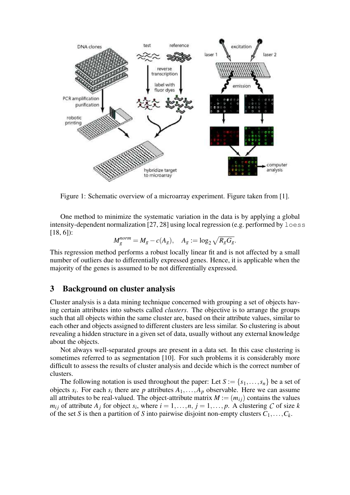

Figure 1: Schematic overview of a microarray experiment. Figure taken from [1].

One method to minimize the systematic variation in the data is by applying a global intensity-dependent normalization [27, 28] using local regression (e.g. performed by  $l$  oess [18, 6]):

$$
M_g^{norm} = M_g - c(A_g), \quad A_g := \log_2 \sqrt{R_g G_g}.
$$

This regression method performs a robust locally linear fit and is not affected by a small number of outliers due to differentially expressed genes. Hence, it is applicable when the majority of the genes is assumed to be not differentially expressed.

## **3 Background on cluster analysis**

Cluster analysis is a data mining technique concerned with grouping a set of objects having certain attributes into subsets called *clusters*. The objective is to arrange the groups such that all objects within the same cluster are, based on their attribute values, similar to each other and objects assigned to different clusters are less similar. So clustering is about revealing a hidden structure in a given set of data, usually without any external knowledge about the objects.

Not always well-separated groups are present in a data set. In this case clustering is sometimes referred to as segmentation [10]. For such problems it is considerably more difficult to assess the results of cluster analysis and decide which is the correct number of clusters.

The following notation is used throughout the paper: Let  $S := \{s_1, \ldots, s_n\}$  be a set of objects  $s_i$ . For each  $s_i$  there are *p* attributes  $A_1, \ldots, A_p$  observable. Here we can assume all attributes to be real-valued. The object-attribute matrix  $M := (m_{ij})$  contains the values  $m_{ij}$  of attribute  $A_j$  for object  $s_i$ , where  $i = 1, \ldots, n$ ,  $j = 1, \ldots, p$ . A clustering *C* of size *k* of the set *S* is then a partition of *S* into pairwise disjoint non-empty clusters  $C_1, \ldots, C_k$ .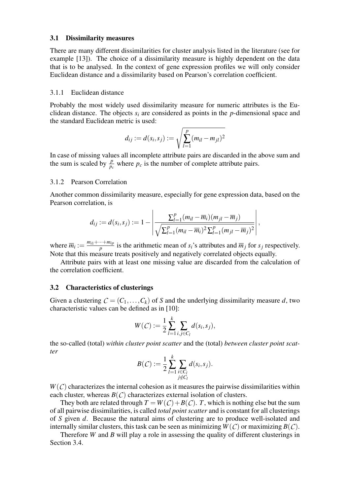#### **3.1 Dissimilarity measures**

There are many different dissimilarities for cluster analysis listed in the literature (see for example [13]). The choice of a dissimilarity measure is highly dependent on the data that is to be analysed. In the context of gene expression profiles we will only consider Euclidean distance and a dissimilarity based on Pearson's correlation coefficient.

#### 3.1.1 Euclidean distance

Probably the most widely used dissimilarity measure for numeric attributes is the Euclidean distance. The objects *s<sup>i</sup>* are considered as points in the *p*-dimensional space and the standard Euclidean metric is used:

$$
d_{ij} := d(s_i, s_j) := \sqrt{\sum_{l=1}^p (m_{il} - m_{jl})^2}
$$

In case of missing values all incomplete attribute pairs are discarded in the above sum and the sum is scaled by  $\frac{p}{p_c}$  where  $p_c$  is the number of complete attribute pairs.

#### 3.1.2 Pearson Correlation

Another common dissimilarity measure, especially for gene expression data, based on the Pearson correlation, is

$$
d_{ij} := d(s_i, s_j) := 1 - \left| \frac{\Sigma_{l=1}^p (m_{il} - \overline{m}_i)(m_{jl} - \overline{m}_j)}{\sqrt{\Sigma_{l=1}^p (m_{il} - \overline{m}_i)^2 \Sigma_{l=1}^p (m_{jl} - \overline{m}_j)^2}} \right|,
$$

where  $\overline{m}_i := \frac{m_{i1} + \dots + m_{ip}}{p}$  $\frac{n+m_{ip}}{p}$  is the arithmetic mean of *s*<sup>*i*</sup>'s attributes and  $\overline{m}_j$  for *s*<sub>*j*</sub> respectively. Note that this measure treats positively and negatively correlated objects equally.

Attribute pairs with at least one missing value are discarded from the calculation of the correlation coefficient.

### **3.2 Characteristics of clusterings**

Given a clustering  $C = (C_1, \ldots, C_k)$  of *S* and the underlying dissimilarity measure *d*, two characteristic values can be defined as in [10]:

$$
W(C) := \frac{1}{2} \sum_{l=1}^{k} \sum_{i,j \in C_l} d(s_i, s_j),
$$

the so-called (total) *within cluster point scatter* and the (total) *between cluster point scatter*

$$
B(C) := \frac{1}{2} \sum_{l=1}^{k} \sum_{\substack{i \in C_l \\ j \notin C_l}} d(s_i, s_j).
$$

 $W(\mathcal{C})$  characterizes the internal cohesion as it measures the pairwise dissimilarities within each cluster, whereas  $B(C)$  characterizes external isolation of clusters.

They both are related through  $T = W(C) + B(C)$ . *T*, which is nothing else but the sum of all pairwise dissimilarities, is called *total point scatter* and is constant for all clusterings of *S* given *d*. Because the natural aims of clustering are to produce well-isolated and internally similar clusters, this task can be seen as minimizing  $W(C)$  or maximizing  $B(C)$ .

Therefore *W* and *B* will play a role in assessing the quality of different clusterings in Section 3.4.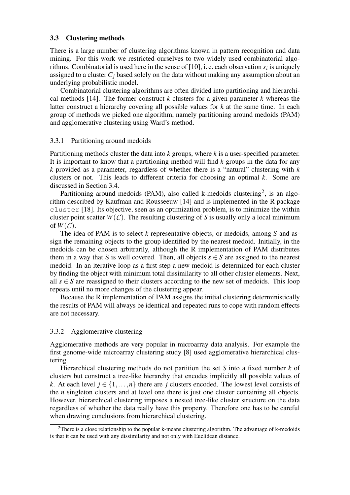## **3.3 Clustering methods**

There is a large number of clustering algorithms known in pattern recognition and data mining. For this work we restricted ourselves to two widely used combinatorial algorithms. Combinatorial is used here in the sense of [10], i. e. each observation  $s_i$  is uniquely assigned to a cluster  $C_i$  based solely on the data without making any assumption about an underlying probabilistic model.

Combinatorial clustering algorithms are often divided into partitioning and hierarchical methods [14]. The former construct *k* clusters for a given parameter *k* whereas the latter construct a hierarchy covering all possible values for *k* at the same time. In each group of methods we picked one algorithm, namely partitioning around medoids (PAM) and agglomerative clustering using Ward's method.

## 3.3.1 Partitioning around medoids

Partitioning methods cluster the data into *k* groups, where *k* is a user-specified parameter. It is important to know that a partitioning method will find *k* groups in the data for any *k* provided as a parameter, regardless of whether there is a "natural" clustering with *k* clusters or not. This leads to different criteria for choosing an optimal *k*. Some are discussed in Section 3.4.

Partitioning around medoids (PAM), also called k-medoids clustering<sup>2</sup>, is an algorithm described by Kaufman and Rousseeuw [14] and is implemented in the R package cluster [18]. Its objective, seen as an optimization problem, is to minimize the within cluster point scatter  $W(C)$ . The resulting clustering of S is usually only a local minimum of  $W(C)$ .

The idea of PAM is to select *k* representative objects, or medoids, among *S* and assign the remaining objects to the group identified by the nearest medoid. Initially, in the medoids can be chosen arbitrarily, although the R implementation of PAM distributes them in a way that S is well covered. Then, all objects  $s \in S$  are assigned to the nearest medoid. In an iterative loop as a first step a new medoid is determined for each cluster by finding the object with minimum total dissimilarity to all other cluster elements. Next, all  $s \in S$  are reassigned to their clusters according to the new set of medoids. This loop repeats until no more changes of the clustering appear.

Because the R implementation of PAM assigns the initial clustering deterministically the results of PAM will always be identical and repeated runs to cope with random effects are not necessary.

## 3.3.2 Agglomerative clustering

Agglomerative methods are very popular in microarray data analysis. For example the first genome-wide microarray clustering study [8] used agglomerative hierarchical clustering.

Hierarchical clustering methods do not partition the set *S* into a fixed number *k* of clusters but construct a tree-like hierarchy that encodes implicitly all possible values of *k*. At each level  $j \in \{1, ..., n\}$  there are *j* clusters encoded. The lowest level consists of the *n* singleton clusters and at level one there is just one cluster containing all objects. However, hierarchical clustering imposes a nested tree-like cluster structure on the data regardless of whether the data really have this property. Therefore one has to be careful when drawing conclusions from hierarchical clustering.

<sup>&</sup>lt;sup>2</sup>There is a close relationship to the popular k-means clustering algorithm. The advantage of k-medoids is that it can be used with any dissimilarity and not only with Euclidean distance.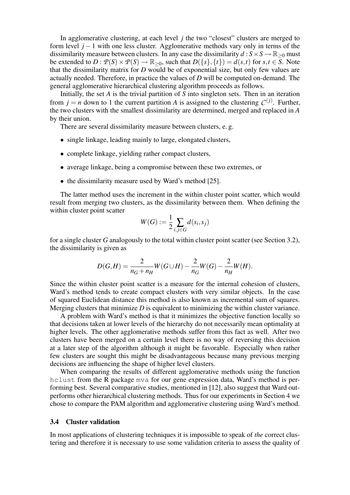In agglomerative clustering, at each level *j* the two "closest" clusters are merged to form level *j* −1 with one less cluster. Agglomerative methods vary only in terms of the dissimilarity measure between clusters. In any case the dissimilarity  $d : S \times S \to \mathbb{R}_{\geq 0}$  must be extended to  $D: \mathcal{P}(S) \times \mathcal{P}(S) \to \mathbb{R}_{\geq 0}$ , such that  $D({s}, {t}) = d(s, t)$  for  $s, t \in S$ . Note that the dissimilarity matrix for *D* would be of exponential size, but only few values are actually needed. Therefore, in practice the values of *D* will be computed on-demand. The general agglomerative hierarchical clustering algorithm proceeds as follows.

Initially, the set *A* is the trivial partition of *S* into singleton sets. Then in an iteration from  $j = n$  down to 1 the current partition *A* is assigned to the clustering  $C^{(j)}$ . Further, the two clusters with the smallest dissimilarity are determined, merged and replaced in *A* by their union.

There are several dissimilarity measure between clusters, e. g.

- single linkage, leading mainly to large, elongated clusters,
- complete linkage, yielding rather compact clusters,
- average linkage, being a compromise between these two extremes, or
- the dissimilarity measure used by Ward's method [25].

The latter method uses the increment in the within cluster point scatter, which would result from merging two clusters, as the dissimilarity between them. When defining the within cluster point scatter

$$
W(G) := \frac{1}{2} \sum_{i,j \in G} d(s_i, s_j)
$$

for a single cluster *G* analogously to the total within cluster point scatter (see Section 3.2), the dissimilarity is given as

$$
D(G,H)=\frac{2}{n_G+n_H}W(G\cup H)-\frac{2}{n_G}W(G)-\frac{2}{n_H}W(H).
$$

Since the within cluster point scatter is a measure for the internal cohesion of clusters, Ward's method tends to create compact clusters with very similar objects. In the case of squared Euclidean distance this method is also known as incremental sum of squares. Merging clusters that minimize *D* is equivalent to minimizing the within cluster variance.

A problem with Ward's method is that it minimizes the objective function locally so that decisions taken at lower levels of the hierarchy do not necessarily mean optimality at higher levels. The other agglomerative methods suffer from this fact as well. After two clusters have been merged on a certain level there is no way of reversing this decision at a later step of the algorithm although it might be favorable. Especially when rather few clusters are sought this might be disadvantageous because many previous merging decisions are influencing the shape of higher level clusters.

When comparing the results of different agglomerative methods using the function hclust from the R package mva for our gene expression data, Ward's method is performing best. Several comparative studies, mentioned in [12], also suggest that Ward outperforms other hierarchical clustering methods. Thus for our experiments in Section 4 we chose to compare the PAM algorithm and agglomerative clustering using Ward's method.

#### **3.4 Cluster validation**

In most applications of clustering techniques it is impossible to speak of *the* correct clustering and therefore it is necessary to use some validation criteria to assess the quality of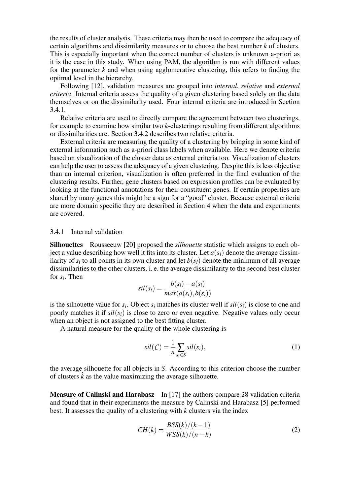the results of cluster analysis. These criteria may then be used to compare the adequacy of certain algorithms and dissimilarity measures or to choose the best number *k* of clusters. This is especially important when the correct number of clusters is unknown a-priori as it is the case in this study. When using PAM, the algorithm is run with different values for the parameter *k* and when using agglomerative clustering, this refers to finding the optimal level in the hierarchy.

Following [12], validation measures are grouped into *internal*, *relative* and *external criteria*. Internal criteria assess the quality of a given clustering based solely on the data themselves or on the dissimilarity used. Four internal criteria are introduced in Section 3.4.1.

Relative criteria are used to directly compare the agreement between two clusterings, for example to examine how similar two *k*-clusterings resulting from different algorithms or dissimilarities are. Section 3.4.2 describes two relative criteria.

External criteria are measuring the quality of a clustering by bringing in some kind of external information such as a-priori class labels when available. Here we denote criteria based on visualization of the cluster data as external criteria too. Visualization of clusters can help the user to assess the adequacy of a given clustering. Despite this is less objective than an internal criterion, visualization is often preferred in the final evaluation of the clustering results. Further, gene clusters based on expression profiles can be evaluated by looking at the functional annotations for their constituent genes. If certain properties are shared by many genes this might be a sign for a "good" cluster. Because external criteria are more domain specific they are described in Section 4 when the data and experiments are covered.

#### 3.4.1 Internal validation

**Silhouettes** Rousseeuw [20] proposed the *silhouette* statistic which assigns to each object a value describing how well it fits into its cluster. Let  $a(s_i)$  denote the average dissimilarity of  $s_i$  to all points in its own cluster and let  $b(s_i)$  denote the minimum of all average dissimilarities to the other clusters, i. e. the average dissimilarity to the second best cluster for *s<sup>i</sup>* . Then *b*(*si*)−*a*(*si*)

$$
sil(s_i) = \frac{b(s_i) - a(s_i)}{max(a(s_i), b(s_i))}
$$

is the silhouette value for  $s_i$ . Object  $s_i$  matches its cluster well if  $sil(s_i)$  is close to one and poorly matches it if *sil*(*si*) is close to zero or even negative. Negative values only occur when an object is not assigned to the best fitting cluster.

A natural measure for the quality of the whole clustering is

$$
sil(C) = \frac{1}{n} \sum_{s_i \in S} sil(s_i),
$$
\n(1)

the average silhouette for all objects in *S*. According to this criterion choose the number of clusters  $\hat{k}$  as the value maximizing the average silhouette.

**Measure of Calinski and Harabasz** In [17] the authors compare 28 validation criteria and found that in their experiments the measure by Calinski and Harabasz [5] performed best. It assesses the quality of a clustering with *k* clusters via the index

$$
CH(k) = \frac{BSS(k)/(k-1)}{WSS(k)/(n-k)}
$$
\n<sup>(2)</sup>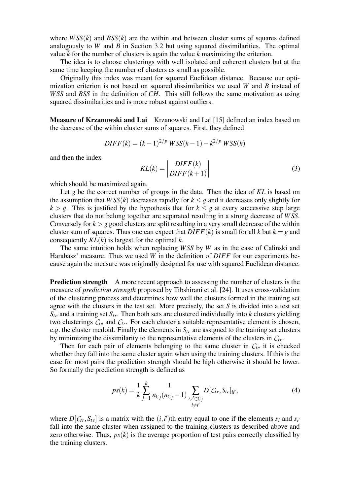where  $WSS(k)$  and  $BSS(k)$  are the within and between cluster sums of squares defined analogously to *W* and *B* in Section 3.2 but using squared dissimilarities. The optimal value  $\hat{k}$  for the number of clusters is again the value  $k$  maximizing the criterion.

The idea is to choose clusterings with well isolated and coherent clusters but at the same time keeping the number of clusters as small as possible.

Originally this index was meant for squared Euclidean distance. Because our optimization criterion is not based on squared dissimilarities we used *W* and *B* instead of *WSS* and *BSS* in the definition of *CH*. This still follows the same motivation as using squared dissimilarities and is more robust against outliers.

**Measure of Krzanowski and Lai** Krzanowski and Lai [15] defined an index based on the decrease of the within cluster sums of squares. First, they defined

$$
DIFF(k) = (k-1)^{2/p} WSS(k-1) - k^{2/p} WSS(k)
$$

and then the index

$$
KL(k) = \left| \frac{DIFF(k)}{DIFF(k+1)} \right| \tag{3}
$$

which should be maximized again.

Let *g* be the correct number of groups in the data. Then the idea of KL is based on the assumption that  $WSS(k)$  decreases rapidly for  $k \leq g$  and it decreases only slightly for  $k > g$ . This is justified by the hypothesis that for  $k \le g$  at every successive step large clusters that do not belong together are separated resulting in a strong decrease of *WSS*. Conversely for  $k > g$  good clusters are split resulting in a very small decrease of the within cluster sum of squares. Thus one can expect that  $DIFF(k)$  is small for all *k* but  $k = g$  and consequently  $KL(k)$  is largest for the optimal  $k$ .

The same intuition holds when replacing *WSS* by *W* as in the case of Calinski and Harabasz' measure. Thus we used *W* in the definition of *DIFF* for our experiments because again the measure was originally designed for use with squared Euclidean distance.

**Prediction strength** A more recent approach to assessing the number of clusters is the measure of *prediction strength* proposed by Tibshirani et al. [24]. It uses cross-validation of the clustering process and determines how well the clusters formed in the training set agree with the clusters in the test set. More precisely, the set *S* is divided into a test set *Ste* and a training set *Str* . Then both sets are clustered individually into *k* clusters yielding two clusterings  $C_{te}$  and  $C_{tr}$ . For each cluster a suitable representative element is chosen, e.g. the cluster medoid. Finally the elements in  $S_{te}$  are assigned to the training set clusters by minimizing the dissimilarity to the representative elements of the clusters in *Ctr* .

Then for each pair of elements belonging to the same cluster in  $C_{te}$  it is checked whether they fall into the same cluster again when using the training clusters. If this is the case for most pairs the prediction strength should be high otherwise it should be lower. So formally the prediction strength is defined as

$$
ps(k) = \frac{1}{k} \sum_{j=1}^{k} \frac{1}{n_{C_j}(n_{C_j} - 1)} \sum_{\substack{i,i' \in C_j \\ i \neq i'}} D[C_{tr}, S_{te}]_{ii'},
$$
\n(4)

where  $D[C_t, S_{te}]$  is a matrix with the  $(i, i')$ <sup>th</sup> entry equal to one if the elements  $s_i$  and  $s_{i'}$ fall into the same cluster when assigned to the training clusters as described above and zero otherwise. Thus,  $ps(k)$  is the average proportion of test pairs correctly classified by the training clusters.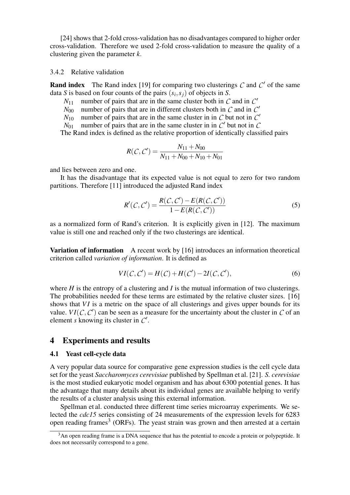[24] shows that 2-fold cross-validation has no disadvantages compared to higher order cross-validation. Therefore we used 2-fold cross-validation to measure the quality of a clustering given the parameter *k*.

3.4.2 Relative validation

**Rand index** The Rand index [19] for comparing two clusterings  $C$  and  $C'$  of the same data *S* is based on four counts of the pairs  $(s_i, s_j)$  of objects in *S*.

 $N_{11}$  number of pairs that are in the same cluster both in *C* and in *C'* 

 $N_{00}$  number of pairs that are in different clusters both in *C* and in  $C'$ 

 $N_{10}$  number of pairs that are in the same cluster in in *C* but not in  $C'$ 

 $N_{01}$  number of pairs that are in the same cluster in in  $C'$  but not in  $C$ 

The Rand index is defined as the relative proportion of identically classified pairs

$$
R(C, C') = \frac{N_{11} + N_{00}}{N_{11} + N_{00} + N_{10} + N_{01}}
$$

and lies between zero and one.

It has the disadvantage that its expected value is not equal to zero for two random partitions. Therefore [11] introduced the adjusted Rand index

$$
R'(C, C') = \frac{R(C, C') - E(R(C, C'))}{1 - E(R(C, C'))}
$$
\n(5)

as a normalized form of Rand's criterion. It is explicitly given in [12]. The maximum value is still one and reached only if the two clusterings are identical.

**Variation of information** A recent work by [16] introduces an information theoretical criterion called *variation of information*. It is defined as

$$
VI(C, C') = H(C) + H(C') - 2I(C, C'),
$$
\n<sup>(6)</sup>

where  $H$  is the entropy of a clustering and  $I$  is the mutual information of two clusterings. The probabilities needed for these terms are estimated by the relative cluster sizes. [16] shows that *VI* is a metric on the space of all clusterings and gives upper bounds for its value.  $VI(C, C')$  can be seen as a measure for the uncertainty about the cluster in  $C$  of an element *s* knowing its cluster in  $C'$ .

# **4 Experiments and results**

## **4.1 Yeast cell-cycle data**

A very popular data source for comparative gene expression studies is the cell cycle data set for the yeast *Saccharomyces cerevisiae* published by Spellman et al. [21]. *S. cerevisiae* is the most studied eukaryotic model organism and has about 6300 potential genes. It has the advantage that many details about its individual genes are available helping to verify the results of a cluster analysis using this external information.

Spellman et al. conducted three different time series microarray experiments. We selected the *cdc15* series consisting of 24 measurements of the expression levels for 6283 open reading frames<sup>3</sup> (ORFs). The yeast strain was grown and then arrested at a certain

 $3<sup>3</sup>$ An open reading frame is a DNA sequence that has the potential to encode a protein or polypeptide. It does not necessarily correspond to a gene.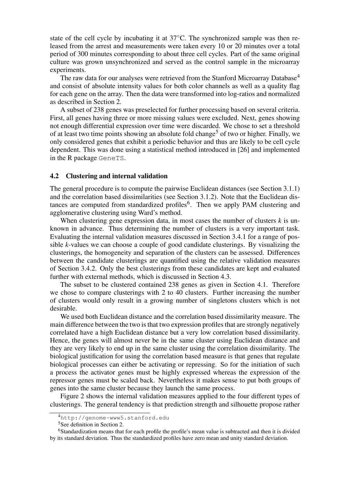state of the cell cycle by incubating it at 37<sup>°</sup>C. The synchronized sample was then released from the arrest and measurements were taken every 10 or 20 minutes over a total period of 300 minutes corresponding to about three cell cycles. Part of the same original culture was grown unsynchronized and served as the control sample in the microarray experiments.

The raw data for our analyses were retrieved from the Stanford Microarray Database<sup>4</sup> and consist of absolute intensity values for both color channels as well as a quality flag for each gene on the array. Then the data were transformed into log-ratios and normalized as described in Section 2.

A subset of 238 genes was preselected for further processing based on several criteria. First, all genes having three or more missing values were excluded. Next, genes showing not enough differential expression over time were discarded. We chose to set a threshold of at least two time points showing an absolute fold change<sup>5</sup> of two or higher. Finally, we only considered genes that exhibit a periodic behavior and thus are likely to be cell cycle dependent. This was done using a statistical method introduced in [26] and implemented in the R package GeneTS.

### **4.2 Clustering and internal validation**

The general procedure is to compute the pairwise Euclidean distances (see Section 3.1.1) and the correlation based dissimilarities (see Section 3.1.2). Note that the Euclidean distances are computed from standardized profiles<sup>6</sup>. Then we apply PAM clustering and agglomerative clustering using Ward's method.

When clustering gene expression data, in most cases the number of clusters *k* is unknown in advance. Thus determining the number of clusters is a very important task. Evaluating the internal validation measures discussed in Section 3.4.1 for a range of possible *k*-values we can choose a couple of good candidate clusterings. By visualizing the clusterings, the homogeneity and separation of the clusters can be assessed. Differences between the candidate clusterings are quantified using the relative validation measures of Section 3.4.2. Only the best clusterings from these candidates are kept and evaluated further with external methods, which is discussed in Section 4.3.

The subset to be clustered contained 238 genes as given in Section 4.1. Therefore we chose to compare clusterings with 2 to 40 clusters. Further increasing the number of clusters would only result in a growing number of singletons clusters which is not desirable.

We used both Euclidean distance and the correlation based dissimilarity measure. The main difference between the two is that two expression profiles that are strongly negatively correlated have a high Euclidean distance but a very low correlation based dissimilarity. Hence, the genes will almost never be in the same cluster using Euclidean distance and they are very likely to end up in the same cluster using the correlation dissimilarity. The biological justification for using the correlation based measure is that genes that regulate biological processes can either be activating or repressing. So for the initiation of such a process the activator genes must be highly expressed whereas the expression of the repressor genes must be scaled back. Nevertheless it makes sense to put both groups of genes into the same cluster because they launch the same process.

Figure 2 shows the internal validation measures applied to the four different types of clusterings. The general tendency is that prediction strength and silhouette propose rather

<sup>4</sup>http://genome-www5.stanford.edu

<sup>5</sup>See definition in Section 2.

<sup>&</sup>lt;sup>6</sup>Standardization means that for each profile the profile's mean value is subtracted and then it is divided by its standard deviation. Thus the standardized profiles have zero mean and unity standard deviation.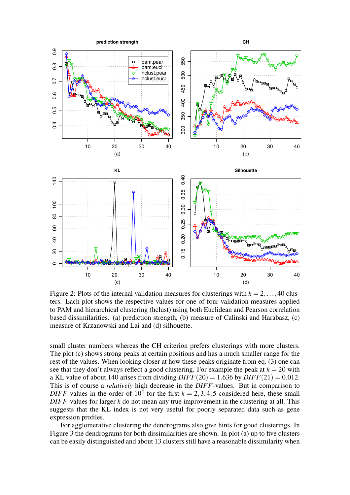

Figure 2: Plots of the internal validation measures for clusterings with  $k = 2, \ldots, 40$  clusters. Each plot shows the respective values for one of four validation measures applied to PAM and hierarchical clustering (hclust) using both Euclidean and Pearson correlation based dissimilarities. (a) prediction strength, (b) measure of Calinski and Harabasz, (c) measure of Krzanowski and Lai and (d) silhouette.

small cluster numbers whereas the CH criterion prefers clusterings with more clusters. The plot (c) shows strong peaks at certain positions and has a much smaller range for the rest of the values. When looking closer at how these peaks originate from eq. (3) one can see that they don't always reflect a good clustering. For example the peak at  $k = 20$  with a KL value of about 140 arises from dividing  $DIFF(20) = 1.636$  by  $DIFF(21) = 0.012$ . This is of course a *relatively* high decrease in the *DIFF*-values. But in comparison to *DIFF*-values in the order of  $10^4$  for the first  $k = 2,3,4,5$  considered here, these small *DIFF*-values for larger *k* do not mean any true improvement in the clustering at all. This suggests that the KL index is not very useful for poorly separated data such as gene expression profiles.

For agglomerative clustering the dendrograms also give hints for good clusterings. In Figure 3 the dendrograms for both dissimilarities are shown. In plot (a) up to five clusters can be easily distinguished and about 13 clusters still have a reasonable dissimilarity when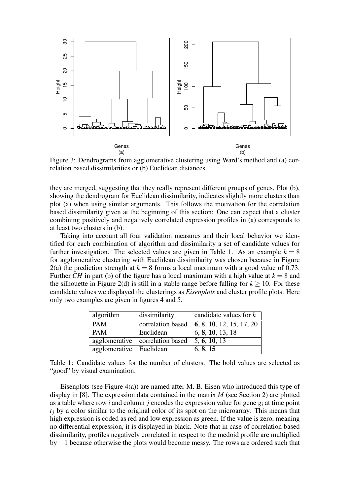

Figure 3: Dendrograms from agglomerative clustering using Ward's method and (a) correlation based dissimilarities or (b) Euclidean distances.

they are merged, suggesting that they really represent different groups of genes. Plot (b), showing the dendrogram for Euclidean dissimilarity, indicates slightly more clusters than plot (a) when using similar arguments. This follows the motivation for the correlation based dissimilarity given at the beginning of this section: One can expect that a cluster combining positively and negatively correlated expression profiles in (a) corresponds to at least two clusters in (b).

Taking into account all four validation measures and their local behavior we identified for each combination of algorithm and dissimilarity a set of candidate values for further investigation. The selected values are given in Table 1. As an example  $k = 8$ for agglomerative clustering with Euclidean dissimilarity was chosen because in Figure 2(a) the prediction strength at  $k = 8$  forms a local maximum with a good value of 0.73. Further *CH* in part (b) of the figure has a local maximum with a high value at  $k = 8$  and the silhouette in Figure 2(d) is still in a stable range before falling for  $k \ge 10$ . For these candidate values we displayed the clusterings as *Eisenplots* and cluster profile plots. Here only two examples are given in figures 4 and 5.

| algorithm                 | dissimilarity     | candidate values for $k$ |
|---------------------------|-------------------|--------------------------|
| <b>PAM</b>                | correlation based | 6, 8, 10, 12, 15, 17, 20 |
| <b>PAM</b>                | Euclidean         | 6, 8, 10, 13, 18         |
| agglomerative             | correlation based | 5, 6, 10, 13             |
| agglomerative   Euclidean |                   | 6, 8, 15                 |

Table 1: Candidate values for the number of clusters. The bold values are selected as "good" by visual examination.

Eisenplots (see Figure 4(a)) are named after M. B. Eisen who introduced this type of display in [8]. The expression data contained in the matrix *M* (see Section 2) are plotted as a table where row *i* and column *j* encodes the expression value for gene  $g_i$  at time point  $t_i$  by a color similar to the original color of its spot on the microarray. This means that high expression is coded as red and low expression as green. If the value is zero, meaning no differential expression, it is displayed in black. Note that in case of correlation based dissimilarity, profiles negatively correlated in respect to the medoid profile are multiplied by −1 because otherwise the plots would become messy. The rows are ordered such that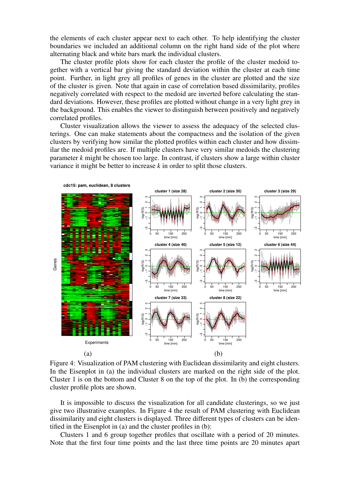the elements of each cluster appear next to each other. To help identifying the cluster boundaries we included an additional column on the right hand side of the plot where alternating black and white bars mark the individual clusters.

The cluster profile plots show for each cluster the profile of the cluster medoid together with a vertical bar giving the standard deviation within the cluster at each time point. Further, in light grey all profiles of genes in the cluster are plotted and the size of the cluster is given. Note that again in case of correlation based dissimilarity, profiles negatively correlated with respect to the medoid are inverted before calculating the standard deviations. However, these profiles are plotted without change in a very light grey in the background. This enables the viewer to distinguish between positively and negatively correlated profiles.

Cluster visualization allows the viewer to assess the adequacy of the selected clusterings. One can make statements about the compactness and the isolation of the given clusters by verifying how similar the plotted profiles within each cluster and how dissimilar the medoid profiles are. If multiple clusters have very similar medoids the clustering parameter *k* might be chosen too large. In contrast, if clusters show a large within cluster variance it might be better to increase *k* in order to split those clusters.



Figure 4: Visualization of PAM clustering with Euclidean dissimilarity and eight clusters. In the Eisenplot in (a) the individual clusters are marked on the right side of the plot. Cluster 1 is on the bottom and Cluster 8 on the top of the plot. In (b) the corresponding cluster profile plots are shown.

It is impossible to discuss the visualization for all candidate clusterings, so we just give two illustrative examples. In Figure 4 the result of PAM clustering with Euclidean dissimilarity and eight clusters is displayed. Three different types of clusters can be identified in the Eisenplot in (a) and the cluster profiles in (b):

Clusters 1 and 6 group together profiles that oscillate with a period of 20 minutes. Note that the first four time points and the last three time points are 20 minutes apart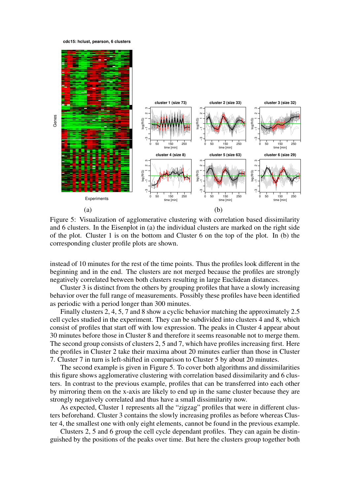**cdc15: hclust, pearson, 6 clusters**



Figure 5: Visualization of agglomerative clustering with correlation based dissimilarity and 6 clusters. In the Eisenplot in (a) the individual clusters are marked on the right side of the plot. Cluster 1 is on the bottom and Cluster 6 on the top of the plot. In (b) the corresponding cluster profile plots are shown.

instead of 10 minutes for the rest of the time points. Thus the profiles look different in the beginning and in the end. The clusters are not merged because the profiles are strongly negatively correlated between both clusters resulting in large Euclidean distances.

Cluster 3 is distinct from the others by grouping profiles that have a slowly increasing behavior over the full range of measurements. Possibly these profiles have been identified as periodic with a period longer than 300 minutes.

Finally clusters 2, 4, 5, 7 and 8 show a cyclic behavior matching the approximately 2.5 cell cycles studied in the experiment. They can be subdivided into clusters 4 and 8, which consist of profiles that start off with low expression. The peaks in Cluster 4 appear about 30 minutes before those in Cluster 8 and therefore it seems reasonable not to merge them. The second group consists of clusters 2, 5 and 7, which have profiles increasing first. Here the profiles in Cluster 2 take their maxima about 20 minutes earlier than those in Cluster 7. Cluster 7 in turn is left-shifted in comparison to Cluster 5 by about 20 minutes.

The second example is given in Figure 5. To cover both algorithms and dissimilarities this figure shows agglomerative clustering with correlation based dissimilarity and 6 clusters. In contrast to the previous example, profiles that can be transferred into each other by mirroring them on the x-axis are likely to end up in the same cluster because they are strongly negatively correlated and thus have a small dissimilarity now.

As expected, Cluster 1 represents all the "zigzag" profiles that were in different clusters beforehand. Cluster 3 contains the slowly increasing profiles as before whereas Cluster 4, the smallest one with only eight elements, cannot be found in the previous example.

Clusters 2, 5 and 6 group the cell cycle dependant profiles. They can again be distinguished by the positions of the peaks over time. But here the clusters group together both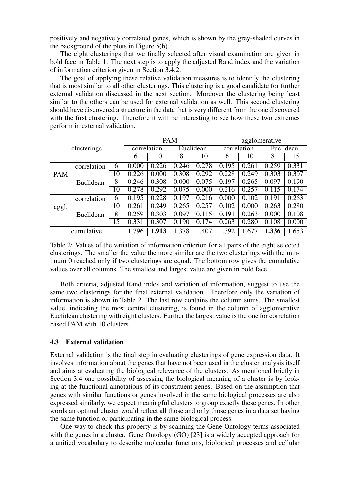positively and negatively correlated genes, which is shown by the grey-shaded curves in the background of the plots in Figure 5(b).

The eight clusterings that we finally selected after visual examination are given in bold face in Table 1. The next step is to apply the adjusted Rand index and the variation of information criterion given in Section 3.4.2.

The goal of applying these relative validation measures is to identify the clustering that is most similar to all other clusterings. This clustering is a good candidate for further external validation discussed in the next section. Moreover the clustering being least similar to the others can be used for external validation as well. This second clustering should have discovered a structure in the data that is very different from the one discovered with the first clustering. Therefore it will be interesting to see how these two extremes perform in external validation.

| clusterings |             | <b>PAM</b>   |       |           | agglomerative |             |       |           |                 |       |
|-------------|-------------|--------------|-------|-----------|---------------|-------------|-------|-----------|-----------------|-------|
|             |             | correlation  |       | Euclidean |               | correlation |       | Euclidean |                 |       |
|             |             | <sub>0</sub> | 10    | 8         | 10            | 6           | 10    | 8         | $\overline{15}$ |       |
| PAM         | correlation | 6            | 0.000 | 0.226     | 0.246         | 0.278       | 0.195 | 0.261     | 0.259           | 0.331 |
|             |             | 10           | 0.226 | 0.000     | 0.308         | 0.292       | 0.228 | 0.249     | 0.303           | 0.307 |
|             | Euclidean   | 8            | 0.246 | 0.308     | 0.000         | 0.075       | 0.197 | 0.265     | 0.097           | 0.190 |
|             |             | 10           | 0.278 | 0.292     | 0.075         | 0.000       | 0.216 | 0.257     | 0.115           | 0.174 |
| aggl.       | correlation | 6            | 0.195 | 0.228     | 0.197         | 0.216       | 0.000 | 0.102     | 0.191           | 0.263 |
|             |             | 10           | 0.261 | 0.249     | 0.265         | 0.257       | 0.102 | 0.000     | 0.263           | 0.280 |
|             | Euclidean   | 8            | 0.259 | 0.303     | 0.097         | 0.115       | 0.191 | 0.263     | 0.000           | 0.108 |
|             |             | 15           | 0.331 | 0.307     | 0.190         | 0.174       | 0.263 | 0.280     | 0.108           | 0.000 |
| cumulative  |             | .796         | 1.913 | .378      | 1.407         | .392        | .67   | 1.336     | 1.653           |       |

Table 2: Values of the variation of information criterion for all pairs of the eight selected clusterings. The smaller the value the more similar are the two clusterings with the minimum 0 reached only if two clusterings are equal. The bottom row gives the cumulative values over all columns. The smallest and largest value are given in bold face.

Both criteria, adjusted Rand index and variation of information, suggest to use the same two clusterings for the final external validation. Therefore only the variation of information is shown in Table 2. The last row contains the column sums. The smallest value, indicating the most central clustering, is found in the column of agglomerative Euclidean clustering with eight clusters. Further the largest value is the one for correlation based PAM with 10 clusters.

## **4.3 External validation**

External validation is the final step in evaluating clusterings of gene expression data. It involves information about the genes that have not been used in the cluster analysis itself and aims at evaluating the biological relevance of the clusters. As mentioned briefly in Section 3.4 one possibility of assessing the biological meaning of a cluster is by looking at the functional annotations of its constituent genes. Based on the assumption that genes with similar functions or genes involved in the same biological processes are also expressed similarly, we expect meaningful clusters to group exactly these genes. In other words an optimal cluster would reflect all those and only those genes in a data set having the same function or participating in the same biological process.

One way to check this property is by scanning the Gene Ontology terms associated with the genes in a cluster. Gene Ontology (GO) [23] is a widely accepted approach for a unified vocabulary to describe molecular functions, biological processes and cellular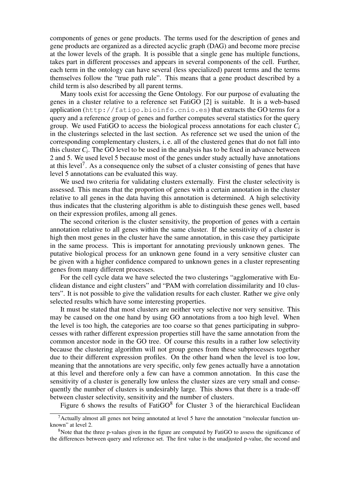components of genes or gene products. The terms used for the description of genes and gene products are organized as a directed acyclic graph (DAG) and become more precise at the lower levels of the graph. It is possible that a single gene has multiple functions, takes part in different processes and appears in several components of the cell. Further, each term in the ontology can have several (less specialized) parent terms and the terms themselves follow the "true path rule". This means that a gene product described by a child term is also described by all parent terms.

Many tools exist for accessing the Gene Ontology. For our purpose of evaluating the genes in a cluster relative to a reference set FatiGO [2] is suitable. It is a web-based application (http://fatigo.bioinfo.cnio.es) that extracts the GO terms for a query and a reference group of genes and further computes several statistics for the query group. We used FatiGO to access the biological process annotations for each cluster *C<sup>i</sup>* in the clusterings selected in the last section. As reference set we used the union of the corresponding complementary clusters, i. e. all of the clustered genes that do not fall into this cluster  $C_i$ . The GO level to be used in the analysis has to be fixed in advance between 2 and 5. We used level 5 because most of the genes under study actually have annotations at this level<sup>7</sup>. As a consequence only the subset of a cluster consisting of genes that have level 5 annotations can be evaluated this way.

We used two criteria for validating clusters externally. First the cluster selectivity is assessed. This means that the proportion of genes with a certain annotation in the cluster relative to all genes in the data having this annotation is determined. A high selectivity thus indicates that the clustering algorithm is able to distinguish these genes well, based on their expression profiles, among all genes.

The second criterion is the cluster sensitivity, the proportion of genes with a certain annotation relative to all genes within the same cluster. If the sensitivity of a cluster is high then most genes in the cluster have the same annotation, in this case they participate in the same process. This is important for annotating previously unknown genes. The putative biological process for an unknown gene found in a very sensitive cluster can be given with a higher confidence compared to unknown genes in a cluster representing genes from many different processes.

For the cell cycle data we have selected the two clusterings "agglomerative with Euclidean distance and eight clusters" and "PAM with correlation dissimilarity and 10 clusters". It is not possible to give the validation results for each cluster. Rather we give only selected results which have some interesting properties.

It must be stated that most clusters are neither very selective nor very sensitive. This may be caused on the one hand by using GO annotations from a too high level. When the level is too high, the categories are too coarse so that genes participating in subprocesses with rather different expression properties still have the same annotation from the common ancestor node in the GO tree. Of course this results in a rather low selectivity because the clustering algorithm will not group genes from these subprocesses together due to their different expression profiles. On the other hand when the level is too low, meaning that the annotations are very specific, only few genes actually have a annotation at this level and therefore only a few can have a common annotation. In this case the sensitivity of a cluster is generally low unless the cluster sizes are very small and consequently the number of clusters is undesirably large. This shows that there is a trade-off between cluster selectivity, sensitivity and the number of clusters.

Figure 6 shows the results of FatiGO $8$  for Cluster 3 of the hierarchical Euclidean

<sup>&</sup>lt;sup>7</sup>Actually almost all genes not being annotated at level 5 have the annotation "molecular function unknown" at level 2.

<sup>&</sup>lt;sup>8</sup>Note that the three p-values given in the figure are computed by FatiGO to assess the significance of the differences between query and reference set. The first value is the unadjusted p-value, the second and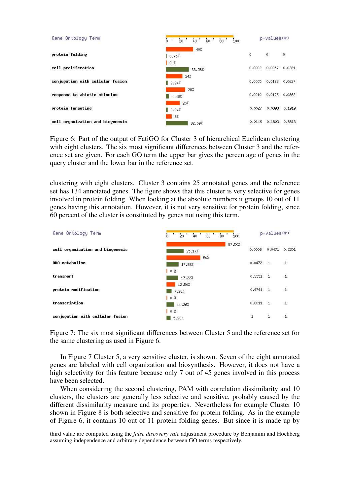

Figure 6: Part of the output of FatiGO for Cluster 3 of hierarchical Euclidean clustering with eight clusters. The six most significant differences between Cluster 3 and the reference set are given. For each GO term the upper bar gives the percentage of genes in the query cluster and the lower bar in the reference set.

clustering with eight clusters. Cluster 3 contains 25 annotated genes and the reference set has 134 annotated genes. The figure shows that this cluster is very selective for genes involved in protein folding. When looking at the absolute numbers it groups 10 out of 11 genes having this annotation. However, it is not very sensitive for protein folding, since 60 percent of the cluster is constituted by genes not using this term.

| Gene Ontology Term               | $\overline{80}$<br>100<br>$\frac{1}{20}$<br>40<br>$60^{-1}$ | $p$ -values $(*)$ |                |              |
|----------------------------------|-------------------------------------------------------------|-------------------|----------------|--------------|
| cell organization and biogenesis | 87.50%<br>25.17%                                            | 0.0006            | 0.0471         | 0.2301       |
| DNA metabolism                   | 50%<br>17.88%                                               | 0.0472            | $\mathbf{1}$   | $\mathbf{1}$ |
| transport                        | 0.7<br>17.22%                                               | 0.3551            | $\mathbf{1}$   | $\mathbf{1}$ |
| protein nodification             | 12.50%<br>7.28%                                             | $0.4741$ 1        |                | $\mathbf{1}$ |
| transcription                    | $0. \%$<br>11.26%                                           | 0.6011            | $\mathbf{1}$   | $\mathbf{1}$ |
| conjugation with cellular fusion | 0.2<br>5.96%                                                | $\mathbf{1}$      | $\overline{1}$ | $\mathbf{1}$ |

Figure 7: The six most significant differences between Cluster 5 and the reference set for the same clustering as used in Figure 6.

In Figure 7 Cluster 5, a very sensitive cluster, is shown. Seven of the eight annotated genes are labeled with cell organization and biosynthesis. However, it does not have a high selectivity for this feature because only 7 out of 45 genes involved in this process have been selected.

When considering the second clustering, PAM with correlation dissimilarity and 10 clusters, the clusters are generally less selective and sensitive, probably caused by the different dissimilarity measure and its properties. Nevertheless for example Cluster 10 shown in Figure 8 is both selective and sensitive for protein folding. As in the example of Figure 6, it contains 10 out of 11 protein folding genes. But since it is made up by

third value are computed using the *false discovery rate* adjustment procedure by Benjamini and Hochberg assuming independence and arbitrary dependence between GO terms respectively.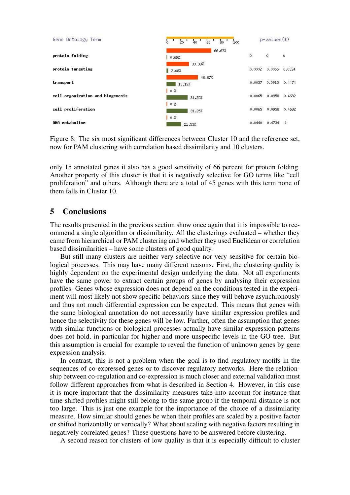

Figure 8: The six most significant differences between Cluster 10 and the reference set, now for PAM clustering with correlation based dissimilarity and 10 clusters.

only 15 annotated genes it also has a good sensitivity of 66 percent for protein folding. Another property of this cluster is that it is negatively selective for GO terms like "cell proliferation" and others. Although there are a total of 45 genes with this term none of them falls in Cluster 10.

# **5 Conclusions**

The results presented in the previous section show once again that it is impossible to recommend a single algorithm or dissimilarity. All the clusterings evaluated – whether they came from hierarchical or PAM clustering and whether they used Euclidean or correlation based dissimilarities – have some clusters of good quality.

But still many clusters are neither very selective nor very sensitive for certain biological processes. This may have many different reasons. First, the clustering quality is highly dependent on the experimental design underlying the data. Not all experiments have the same power to extract certain groups of genes by analysing their expression profiles. Genes whose expression does not depend on the conditions tested in the experiment will most likely not show specific behaviors since they will behave asynchronously and thus not much differential expression can be expected. This means that genes with the same biological annotation do not necessarily have similar expression profiles and hence the selectivity for these genes will be low. Further, often the assumption that genes with similar functions or biological processes actually have similar expression patterns does not hold, in particular for higher and more unspecific levels in the GO tree. But this assumption is crucial for example to reveal the function of unknown genes by gene expression analysis.

In contrast, this is not a problem when the goal is to find regulatory motifs in the sequences of co-expressed genes or to discover regulatory networks. Here the relationship between co-regulation and co-expression is much closer and external validation must follow different approaches from what is described in Section 4. However, in this case it is more important that the dissimilarity measures take into account for instance that time-shifted profiles might still belong to the same group if the temporal distance is not too large. This is just one example for the importance of the choice of a dissimilarity measure. How similar should genes be when their profiles are scaled by a positive factor or shifted horizontally or vertically? What about scaling with negative factors resulting in negatively correlated genes? These questions have to be answered before clustering.

A second reason for clusters of low quality is that it is especially difficult to cluster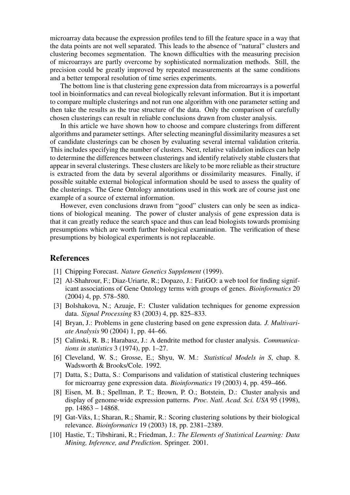microarray data because the expression profiles tend to fill the feature space in a way that the data points are not well separated. This leads to the absence of "natural" clusters and clustering becomes segmentation. The known difficulties with the measuring precision of microarrays are partly overcome by sophisticated normalization methods. Still, the precision could be greatly improved by repeated measurements at the same conditions and a better temporal resolution of time series experiments.

The bottom line is that clustering gene expression data from microarrays is a powerful tool in bioinformatics and can reveal biologically relevant information. But it is important to compare multiple clusterings and not run one algorithm with one parameter setting and then take the results as the true structure of the data. Only the comparison of carefully chosen clusterings can result in reliable conclusions drawn from cluster analysis.

In this article we have shown how to choose and compare clusterings from different algorithms and parameter settings. After selecting meaningful dissimilarity measures a set of candidate clusterings can be chosen by evaluating several internal validation criteria. This includes specifying the number of clusters. Next, relative validation indices can help to determine the differences between clusterings and identify relatively stable clusters that appear in several clusterings. These clusters are likely to be more reliable as their structure is extracted from the data by several algorithms or dissimilarity measures. Finally, if possible suitable external biological information should be used to assess the quality of the clusterings. The Gene Ontology annotations used in this work are of course just one example of a source of external information.

However, even conclusions drawn from "good" clusters can only be seen as indications of biological meaning. The power of cluster analysis of gene expression data is that it can greatly reduce the search space and thus can lead biologists towards promising presumptions which are worth further biological examination. The verification of these presumptions by biological experiments is not replaceable.

# **References**

- [1] Chipping Forecast. *Nature Genetics Supplement* (1999).
- [2] Al-Shahrour, F.; Diaz-Uriarte, R.; Dopazo, J.: FatiGO: a web tool for finding significant associations of Gene Ontology terms with groups of genes. *Bioinformatics* 20 (2004) 4, pp. 578–580.
- [3] Bolshakova, N.; Azuaje, F.: Cluster validation techniques for genome expression data. *Signal Processing* 83 (2003) 4, pp. 825–833.
- [4] Bryan, J.: Problems in gene clustering based on gene expression data. *J. Multivariate Analysis* 90 (2004) 1, pp. 44–66.
- [5] Calinski, R. B.; Harabasz, J.: A dendrite method for cluster analysis. *Communications in statistics* 3 (1974), pp. 1–27.
- [6] Cleveland, W. S.; Grosse, E.; Shyu, W. M.: *Statistical Models in S*, chap. 8. Wadsworth & Brooks/Cole. 1992.
- [7] Datta, S.; Datta, S.: Comparisons and validation of statistical clustering techniques for microarray gene expression data. *Bioinformatics* 19 (2003) 4, pp. 459–466.
- [8] Eisen, M. B.; Spellman, P. T.; Brown, P. O.; Botstein, D.: Cluster analysis and display of genome-wide expression patterns. *Proc. Natl. Acad. Sci. USA* 95 (1998), pp. 14863 – 14868.
- [9] Gat-Viks, I.; Sharan, R.; Shamir, R.: Scoring clustering solutions by their biological relevance. *Bioinformatics* 19 (2003) 18, pp. 2381–2389.
- [10] Hastie, T.; Tibshirani, R.; Friedman, J.: *The Elements of Statistical Learning: Data Mining, Inference, and Prediction*. Springer. 2001.